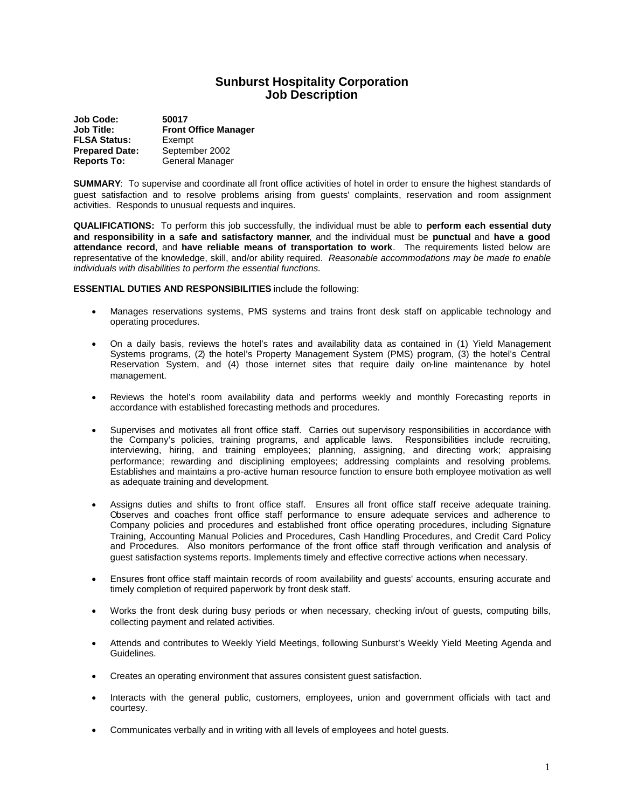## **Sunburst Hospitality Corporation Job Description**

| <b>Job Code:</b>      | 50017                       |
|-----------------------|-----------------------------|
| <b>Job Title:</b>     | <b>Front Office Manager</b> |
| <b>FLSA Status:</b>   | Exempt                      |
| <b>Prepared Date:</b> | September 2002              |
| <b>Reports To:</b>    | General Manager             |

**SUMMARY**: To supervise and coordinate all front office activities of hotel in order to ensure the highest standards of guest satisfaction and to resolve problems arising from guests' complaints, reservation and room assignment activities. Responds to unusual requests and inquires.

**QUALIFICATIONS:** To perform this job successfully, the individual must be able to **perform each essential duty and responsibility in a safe and satisfactory manner**, and the individual must be **punctual** and **have a good attendance record**, and **have reliable means of transportation to work**. The requirements listed below are representative of the knowledge, skill, and/or ability required. *Reasonable accommodations may be made to enable individuals with disabilities to perform the essential functions.*

## **ESSENTIAL DUTIES AND RESPONSIBILITIES** include the following:

- Manages reservations systems, PMS systems and trains front desk staff on applicable technology and operating procedures.
- On a daily basis, reviews the hotel's rates and availability data as contained in (1) Yield Management Systems programs, (2) the hotel's Property Management System (PMS) program, (3) the hotel's Central Reservation System, and (4) those internet sites that require daily on-line maintenance by hotel management.
- Reviews the hotel's room availability data and performs weekly and monthly Forecasting reports in accordance with established forecasting methods and procedures.
- Supervises and motivates all front office staff. Carries out supervisory responsibilities in accordance with the Company's policies, training programs, and applicable laws. Responsibilities include recruiting, interviewing, hiring, and training employees; planning, assigning, and directing work; appraising performance; rewarding and disciplining employees; addressing complaints and resolving problems. Establishes and maintains a pro-active human resource function to ensure both employee motivation as well as adequate training and development.
- Assigns duties and shifts to front office staff. Ensures all front office staff receive adequate training. Observes and coaches front office staff performance to ensure adequate services and adherence to Company policies and procedures and established front office operating procedures, including Signature Training, Accounting Manual Policies and Procedures, Cash Handling Procedures, and Credit Card Policy and Procedures. Also monitors performance of the front office staff through verification and analysis of guest satisfaction systems reports. Implements timely and effective corrective actions when necessary.
- Ensures front office staff maintain records of room availability and guests' accounts, ensuring accurate and timely completion of required paperwork by front desk staff.
- Works the front desk during busy periods or when necessary, checking in/out of guests, computing bills, collecting payment and related activities.
- Attends and contributes to Weekly Yield Meetings, following Sunburst's Weekly Yield Meeting Agenda and Guidelines.
- Creates an operating environment that assures consistent guest satisfaction.
- Interacts with the general public, customers, employees, union and government officials with tact and courtesy.
- Communicates verbally and in writing with all levels of employees and hotel guests.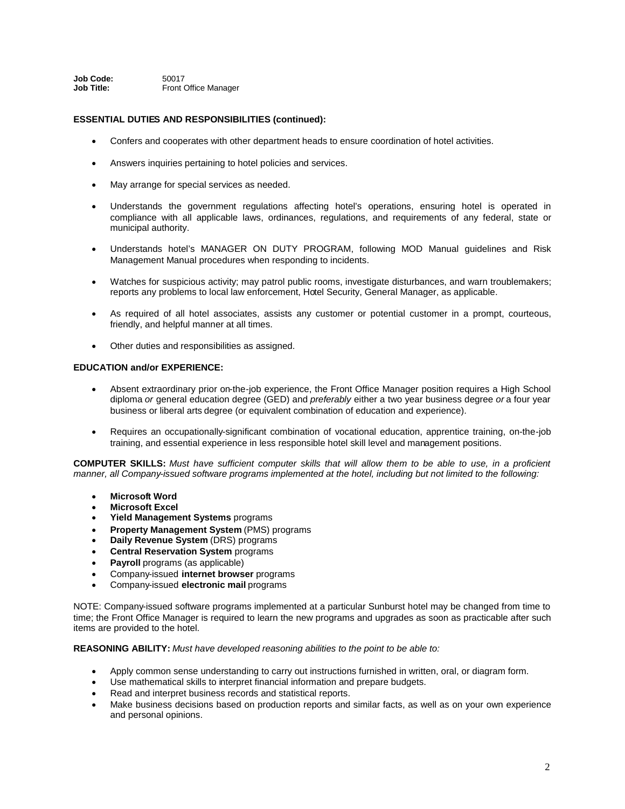**Job Code:** 50017 **Job Title:** Front Office Manager

## **ESSENTIAL DUTIES AND RESPONSIBILITIES (continued):**

- Confers and cooperates with other department heads to ensure coordination of hotel activities.
- Answers inquiries pertaining to hotel policies and services.
- May arrange for special services as needed.
- Understands the government regulations affecting hotel's operations, ensuring hotel is operated in compliance with all applicable laws, ordinances, regulations, and requirements of any federal, state or municipal authority.
- Understands hotel's MANAGER ON DUTY PROGRAM, following MOD Manual guidelines and Risk Management Manual procedures when responding to incidents.
- Watches for suspicious activity; may patrol public rooms, investigate disturbances, and warn troublemakers; reports any problems to local law enforcement, Hotel Security, General Manager, as applicable.
- As required of all hotel associates, assists any customer or potential customer in a prompt, courteous, friendly, and helpful manner at all times.
- Other duties and responsibilities as assigned.

## **EDUCATION and/or EXPERIENCE:**

- Absent extraordinary prior on-the-job experience, the Front Office Manager position requires a High School diploma *or* general education degree (GED) and *preferably* either a two year business degree *or* a four year business or liberal arts degree (or equivalent combination of education and experience).
- Requires an occupationally-significant combination of vocational education, apprentice training, on-the-job training, and essential experience in less responsible hotel skill level and management positions.

**COMPUTER SKILLS:** *Must have sufficient computer skills that will allow them to be able to use, in a proficient manner, all Company-issued software programs implemented at the hotel, including but not limited to the following:*

- **Microsoft Word**
- **Microsoft Excel**
- **Yield Management Systems** programs
- **Property Management System** (PMS) programs
- **Daily Revenue System** (DRS) programs
- **Central Reservation System** programs
- **Payroll** programs (as applicable)
- Company-issued **internet browser** programs
- Company-issued **electronic mail** programs

NOTE: Company-issued software programs implemented at a particular Sunburst hotel may be changed from time to time; the Front Office Manager is required to learn the new programs and upgrades as soon as practicable after such items are provided to the hotel.

**REASONING ABILITY:** *Must have developed reasoning abilities to the point to be able to:*

- Apply common sense understanding to carry out instructions furnished in written, oral, or diagram form.
- Use mathematical skills to interpret financial information and prepare budgets.
- Read and interpret business records and statistical reports.
- Make business decisions based on production reports and similar facts, as well as on your own experience and personal opinions.